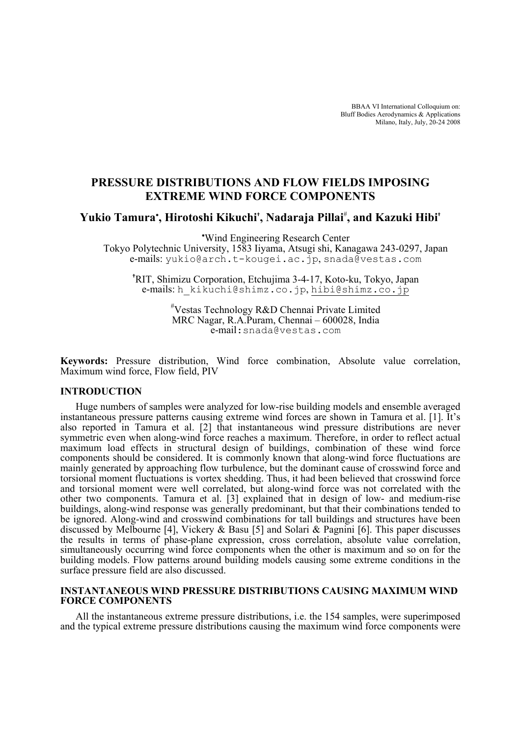BBAA VI International Colloquium on: Bluff Bodies Aerodynamics & Applications Milano, Italy, July, 20-24 2008

# **PRESSURE DISTRIBUTIONS AND FLOW FIELDS IMPOSING EXTREME WIND FORCE COMPONENTS**

**Yukio Tamura**<sup>∗</sup> **, Hirotoshi Kikuchi† , Nadaraja Pillai**# **, and Kazuki Hibi†**

∗ Wind Engineering Research Center Tokyo Polytechnic University, 1583 Iiyama, Atsugi shi, Kanagawa 243-0297, Japan e-mails: yukio@arch.t-kougei.ac.jp, snada@vestas.com

**†** RIT, Shimizu Corporation, Etchujima 3-4-17, Koto-ku, Tokyo, Japan e-mails: h\_kikuchi@shimz.co.jp, hibi@shimz.co.jp

> # Vestas Technology R&D Chennai Private Limited MRC Nagar, R.A.Puram, Chennai – 600028, India e-mail:snada@vestas.com

**Keywords:** Pressure distribution, Wind force combination, Absolute value correlation, Maximum wind force, Flow field, PIV

# **INTRODUCTION**

Huge numbers of samples were analyzed for low-rise building models and ensemble averaged instantaneous pressure patterns causing extreme wind forces are shown in Tamura et al. [1]. It's also reported in Tamura et al. [2] that instantaneous wind pressure distributions are never symmetric even when along-wind force reaches a maximum. Therefore, in order to reflect actual maximum load effects in structural design of buildings, combination of these wind force components should be considered. It is commonly known that along-wind force fluctuations are mainly generated by approaching flow turbulence, but the dominant cause of crosswind force and torsional moment fluctuations is vortex shedding. Thus, it had been believed that crosswind force and torsional moment were well correlated, but along-wind force was not correlated with the other two components. Tamura et al. [3] explained that in design of low- and medium-rise buildings, along-wind response was generally predominant, but that their combinations tended to be ignored. Along-wind and crosswind combinations for tall buildings and structures have been discussed by Melbourne [4], Vickery & Basu [5] and Solari & Pagnini [6]. This paper discusses the results in terms of phase-plane expression, cross correlation, absolute value correlation, simultaneously occurring wind force components when the other is maximum and so on for the building models. Flow patterns around building models causing some extreme conditions in the surface pressure field are also discussed.

# **INSTANTANEOUS WIND PRESSURE DISTRIBUTIONS CAUSING MAXIMUM WIND FORCE COMPONENTS**

All the instantaneous extreme pressure distributions, i.e. the 154 samples, were superimposed and the typical extreme pressure distributions causing the maximum wind force components were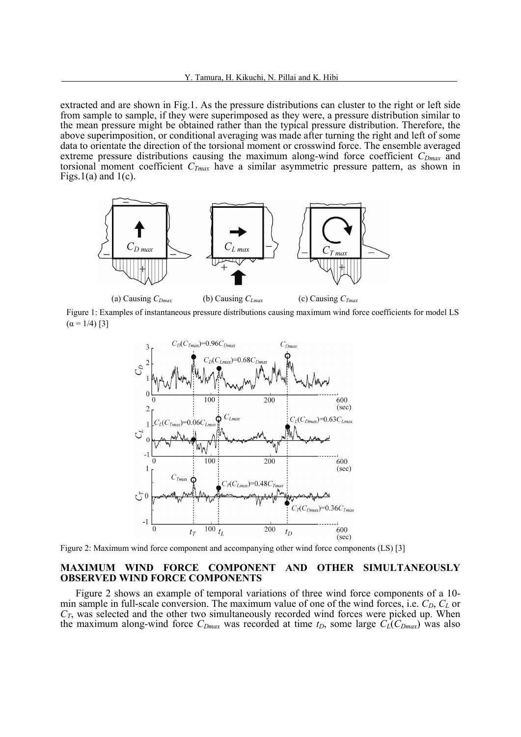extracted and are shown in Fig.1. As the pressure distributions can cluster to the right or left side from sample to sample, if they were superimposed as they were, a pressure distribution similar to the mean pressure might be obtained rather than the typical pressure distribution. Therefore, the above superimposition, or conditional averaging was made after turning the right and left of some data to orientate the direction of the torsional moment or crosswind force. The ensemble averaged extreme pressure distributions causing the maximum along-wind force coefficient  $C_{Dmax}$  and torsional moment coefficient *CTmax* have a similar asymmetric pressure pattern, as shown in Figs.  $1(a)$  and  $1(c)$ .



Figure 1: Examples of instantaneous pressure distributions causing maximum wind force coefficients for model LS  $(α = 1/4)$  [3]



Figure 2: Maximum wind force component and accompanying other wind force components (LS) [3]

#### **MAXIMUM WIND FORCE COMPONENT AND OTHER SIMULTANEOUSLY OBSERVED WIND FORCE COMPONENTS**

Figure 2 shows an example of temporal variations of three wind force components of a 10 min sample in full-scale conversion. The maximum value of one of the wind forces, i.e. *C<sub>D</sub>*, *C<sub>L</sub>* or  $C_T$ , was selected and the other two simultaneously recorded wind forces were picked up. When the maximum along-wind force  $C_{Dmax}$  was recorded at time  $t_D$ , some large  $C_L(C_{Dmax})$  was also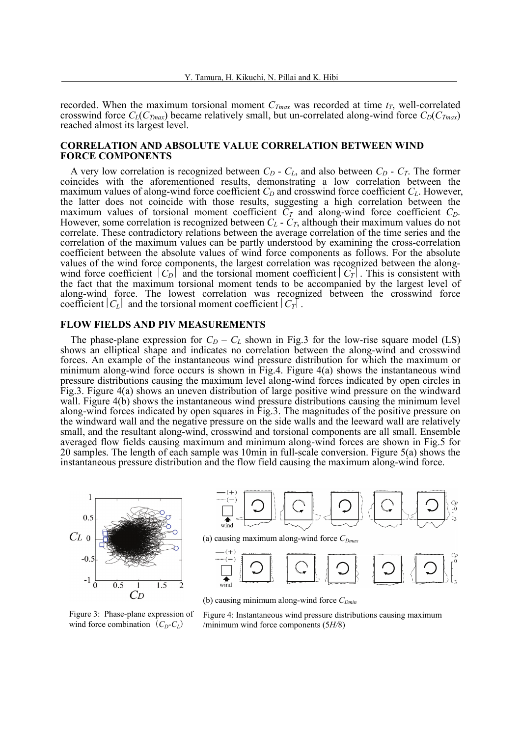recorded. When the maximum torsional moment  $C_{Tmax}$  was recorded at time  $t_T$ , well-correlated crosswind force  $C_l(C_{Tmax})$  became relatively small, but un-correlated along-wind force  $C_l(C_{Tmax})$ reached almost its largest level.

## **CORRELATION AND ABSOLUTE VALUE CORRELATION BETWEEN WIND FORCE COMPONENTS**

A very low correlation is recognized between  $C_D$  -  $C_L$ , and also between  $C_D$  -  $C_T$ . The former coincides with the aforementioned results, demonstrating a low correlation between the maximum values of along-wind force coefficient  $C_D$  and crosswind force coefficient  $C_L$ . However, the latter does not coincide with those results, suggesting a high correlation between the maximum values of torsional moment coefficient  $\overline{C_T}$  and along-wind force coefficient  $C_D$ .<br>However, some correlation is recognized between  $C_L$  -  $C_T$ , although their maximum values do not However, some correlation is recognized between  $C_L$  -  $C_T$ , although their maximum values do not correlate. These contradictory relations between the average correlation of the time series and the correlation of the maximum values can be partly understood by examining the cross-correlation coefficient between the absolute values of wind force components as follows. For the absolute values of the wind force components, the largest correlation was recognized between the alongwind force coefficient  $|C_D|$  and the torsional moment coefficient  $|C_T|$ . This is consistent with the fact that the maximum torsional moment tends to be accompanied by the largest level of along-wind force. The lowest correlation was recognized between the crosswind force coefficient  $|C_i|$  and the torsional moment coefficient  $|C_i|$ .

### **FLOW FIELDS AND PIV MEASUREMENTS**

The phase-plane expression for  $C_D - C_L$  shown in Fig.3 for the low-rise square model (LS) shows an elliptical shape and indicates no correlation between the along-wind and crosswind forces. An example of the instantaneous wind pressure distribution for which the maximum or minimum along-wind force occurs is shown in Fig.4. Figure 4(a) shows the instantaneous wind pressure distributions causing the maximum level along-wind forces indicated by open circles in Fig.3. Figure 4(a) shows an uneven distribution of large positive wind pressure on the windward wall. Figure 4(b) shows the instantaneous wind pressure distributions causing the minimum level along-wind forces indicated by open squares in Fig.3. The magnitudes of the positive pressure on the windward wall and the negative pressure on the side walls and the leeward wall are relatively small, and the resultant along-wind, crosswind and torsional components are all small. Ensemble averaged flow fields causing maximum and minimum along-wind forces are shown in Fig.5 for 20 samples. The length of each sample was 10min in full-scale conversion. Figure 5(a) shows the instantaneous pressure distribution and the flow field causing the maximum along-wind force.



Figure 3: Phase-plane expression of wind force combination  $(C_D-C_L)$ 

Figure 4: Instantaneous wind pressure distributions causing maximum /minimum wind force components (5*H/*8)